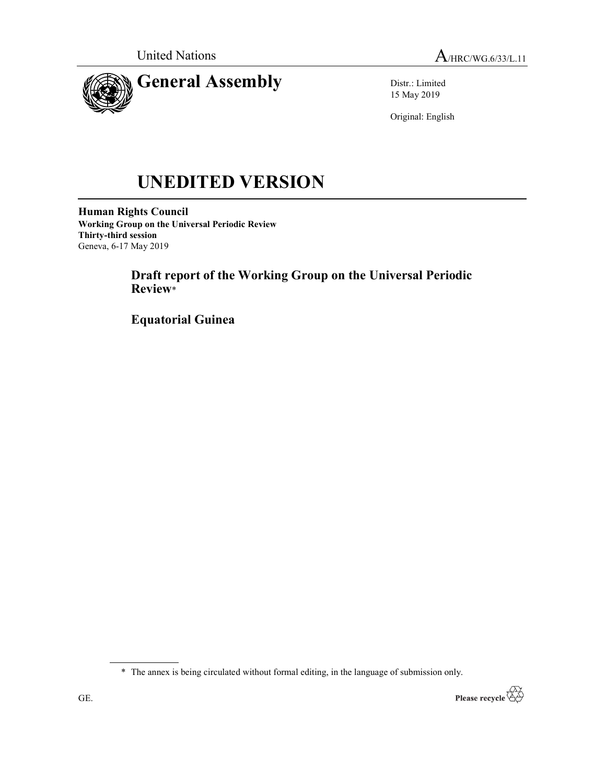



Distr.: Limited 15 May 2019

Original: English

# UNEDITED VERSION

Human Rights Council Working Group on the Universal Periodic Review Thirty-third session Geneva, 6-17 May 2019

> Draft report of the Working Group on the Universal Periodic Review\*

Equatorial Guinea

\* The annex is being circulated without formal editing, in the language of submission only.

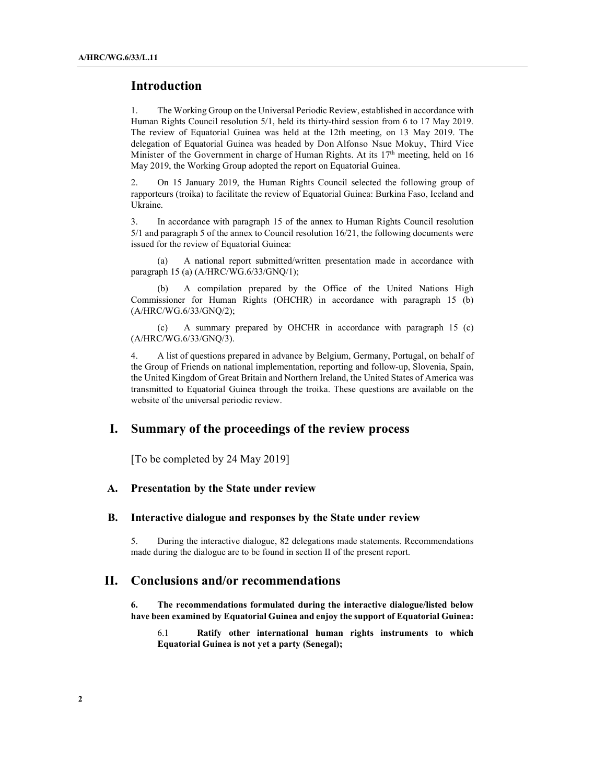## Introduction

1. The Working Group on the Universal Periodic Review, established in accordance with Human Rights Council resolution 5/1, held its thirty-third session from 6 to 17 May 2019. The review of Equatorial Guinea was held at the 12th meeting, on 13 May 2019. The delegation of Equatorial Guinea was headed by Don Alfonso Nsue Mokuy, Third Vice Minister of the Government in charge of Human Rights. At its  $17<sup>th</sup>$  meeting, held on 16 May 2019, the Working Group adopted the report on Equatorial Guinea.

2. On 15 January 2019, the Human Rights Council selected the following group of rapporteurs (troika) to facilitate the review of Equatorial Guinea: Burkina Faso, Iceland and Ukraine.

3. In accordance with paragraph 15 of the annex to Human Rights Council resolution 5/1 and paragraph 5 of the annex to Council resolution 16/21, the following documents were issued for the review of Equatorial Guinea:

 (a) A national report submitted/written presentation made in accordance with paragraph 15 (a) (A/HRC/WG.6/33/GNQ/1);

 (b) A compilation prepared by the Office of the United Nations High Commissioner for Human Rights (OHCHR) in accordance with paragraph 15 (b) (A/HRC/WG.6/33/GNQ/2);

 (c) A summary prepared by OHCHR in accordance with paragraph 15 (c) (A/HRC/WG.6/33/GNQ/3).

4. A list of questions prepared in advance by Belgium, Germany, Portugal, on behalf of the Group of Friends on national implementation, reporting and follow-up, Slovenia, Spain, the United Kingdom of Great Britain and Northern Ireland, the United States of America was transmitted to Equatorial Guinea through the troika. These questions are available on the website of the universal periodic review.

# I. Summary of the proceedings of the review process

[To be completed by 24 May 2019]

#### A. Presentation by the State under review

#### B. Interactive dialogue and responses by the State under review

5. During the interactive dialogue, 82 delegations made statements. Recommendations made during the dialogue are to be found in section II of the present report.

## II. Conclusions and/or recommendations

6. The recommendations formulated during the interactive dialogue/listed below have been examined by Equatorial Guinea and enjoy the support of Equatorial Guinea:

6.1 Ratify other international human rights instruments to which Equatorial Guinea is not yet a party (Senegal);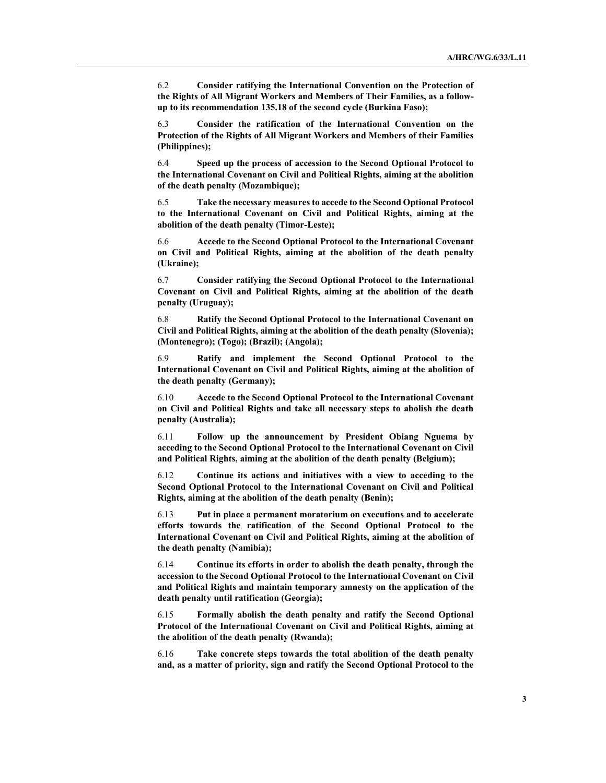6.2 Consider ratifying the International Convention on the Protection of the Rights of All Migrant Workers and Members of Their Families, as a followup to its recommendation 135.18 of the second cycle (Burkina Faso);

6.3 Consider the ratification of the International Convention on the Protection of the Rights of All Migrant Workers and Members of their Families (Philippines);

6.4 Speed up the process of accession to the Second Optional Protocol to the International Covenant on Civil and Political Rights, aiming at the abolition of the death penalty (Mozambique);

6.5 Take the necessary measures to accede to the Second Optional Protocol to the International Covenant on Civil and Political Rights, aiming at the abolition of the death penalty (Timor-Leste);

6.6 Accede to the Second Optional Protocol to the International Covenant on Civil and Political Rights, aiming at the abolition of the death penalty (Ukraine);

6.7 Consider ratifying the Second Optional Protocol to the International Covenant on Civil and Political Rights, aiming at the abolition of the death penalty (Uruguay);

6.8 Ratify the Second Optional Protocol to the International Covenant on Civil and Political Rights, aiming at the abolition of the death penalty (Slovenia); (Montenegro); (Togo); (Brazil); (Angola);

6.9 Ratify and implement the Second Optional Protocol to the International Covenant on Civil and Political Rights, aiming at the abolition of the death penalty (Germany);

6.10 Accede to the Second Optional Protocol to the International Covenant on Civil and Political Rights and take all necessary steps to abolish the death penalty (Australia);

6.11 Follow up the announcement by President Obiang Nguema by acceding to the Second Optional Protocol to the International Covenant on Civil and Political Rights, aiming at the abolition of the death penalty (Belgium);

6.12 Continue its actions and initiatives with a view to acceding to the Second Optional Protocol to the International Covenant on Civil and Political Rights, aiming at the abolition of the death penalty (Benin);

6.13 Put in place a permanent moratorium on executions and to accelerate efforts towards the ratification of the Second Optional Protocol to the International Covenant on Civil and Political Rights, aiming at the abolition of the death penalty (Namibia);

6.14 Continue its efforts in order to abolish the death penalty, through the accession to the Second Optional Protocol to the International Covenant on Civil and Political Rights and maintain temporary amnesty on the application of the death penalty until ratification (Georgia);

6.15 Formally abolish the death penalty and ratify the Second Optional Protocol of the International Covenant on Civil and Political Rights, aiming at the abolition of the death penalty (Rwanda);

6.16 Take concrete steps towards the total abolition of the death penalty and, as a matter of priority, sign and ratify the Second Optional Protocol to the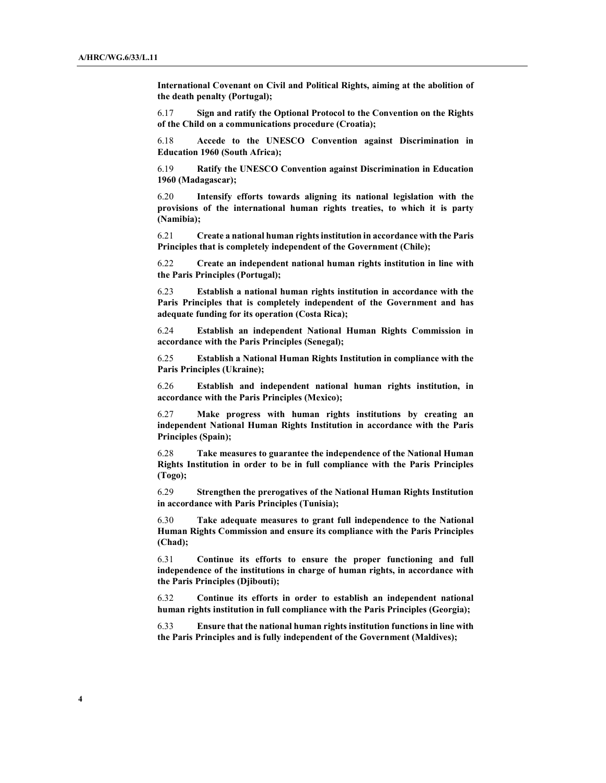International Covenant on Civil and Political Rights, aiming at the abolition of the death penalty (Portugal);

6.17 Sign and ratify the Optional Protocol to the Convention on the Rights of the Child on a communications procedure (Croatia);

6.18 Accede to the UNESCO Convention against Discrimination in Education 1960 (South Africa);

6.19 Ratify the UNESCO Convention against Discrimination in Education 1960 (Madagascar);

6.20 Intensify efforts towards aligning its national legislation with the provisions of the international human rights treaties, to which it is party (Namibia);

6.21 Create a national human rights institution in accordance with the Paris Principles that is completely independent of the Government (Chile);

6.22 Create an independent national human rights institution in line with the Paris Principles (Portugal);

6.23 Establish a national human rights institution in accordance with the Paris Principles that is completely independent of the Government and has adequate funding for its operation (Costa Rica);

6.24 Establish an independent National Human Rights Commission in accordance with the Paris Principles (Senegal);

6.25 Establish a National Human Rights Institution in compliance with the Paris Principles (Ukraine);

6.26 Establish and independent national human rights institution, in accordance with the Paris Principles (Mexico);

6.27 Make progress with human rights institutions by creating an independent National Human Rights Institution in accordance with the Paris Principles (Spain);

6.28 Take measures to guarantee the independence of the National Human Rights Institution in order to be in full compliance with the Paris Principles (Togo);

6.29 Strengthen the prerogatives of the National Human Rights Institution in accordance with Paris Principles (Tunisia);

6.30 Take adequate measures to grant full independence to the National Human Rights Commission and ensure its compliance with the Paris Principles (Chad);

6.31 Continue its efforts to ensure the proper functioning and full independence of the institutions in charge of human rights, in accordance with the Paris Principles (Djibouti);

6.32 Continue its efforts in order to establish an independent national human rights institution in full compliance with the Paris Principles (Georgia);

6.33 Ensure that the national human rights institution functions in line with the Paris Principles and is fully independent of the Government (Maldives);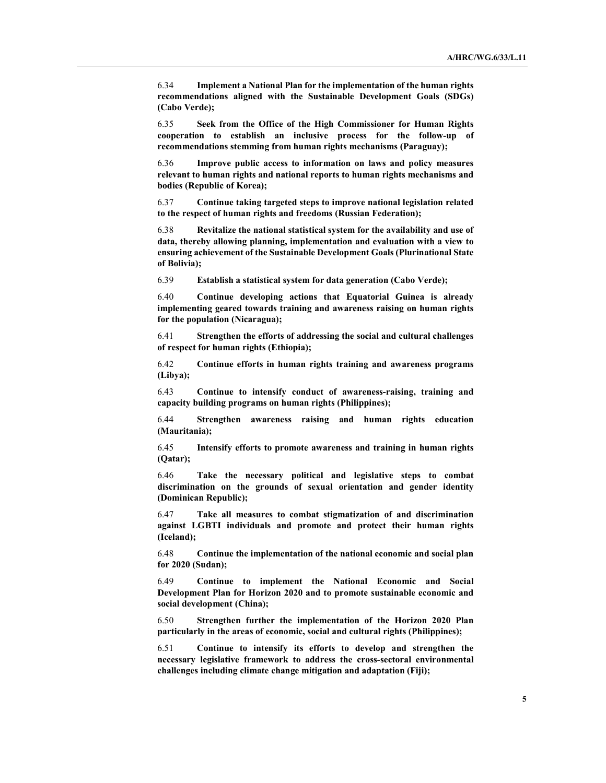6.34 Implement a National Plan for the implementation of the human rights recommendations aligned with the Sustainable Development Goals (SDGs) (Cabo Verde);

6.35 Seek from the Office of the High Commissioner for Human Rights cooperation to establish an inclusive process for the follow-up of recommendations stemming from human rights mechanisms (Paraguay);

6.36 Improve public access to information on laws and policy measures relevant to human rights and national reports to human rights mechanisms and bodies (Republic of Korea);

6.37 Continue taking targeted steps to improve national legislation related to the respect of human rights and freedoms (Russian Federation);

6.38 Revitalize the national statistical system for the availability and use of data, thereby allowing planning, implementation and evaluation with a view to ensuring achievement of the Sustainable Development Goals (Plurinational State of Bolivia);

6.39 Establish a statistical system for data generation (Cabo Verde);

6.40 Continue developing actions that Equatorial Guinea is already implementing geared towards training and awareness raising on human rights for the population (Nicaragua);

6.41 Strengthen the efforts of addressing the social and cultural challenges of respect for human rights (Ethiopia);

6.42 Continue efforts in human rights training and awareness programs (Libya);

6.43 Continue to intensify conduct of awareness-raising, training and capacity building programs on human rights (Philippines);

6.44 Strengthen awareness raising and human rights education (Mauritania);

6.45 Intensify efforts to promote awareness and training in human rights (Qatar);

6.46 Take the necessary political and legislative steps to combat discrimination on the grounds of sexual orientation and gender identity (Dominican Republic);

6.47 Take all measures to combat stigmatization of and discrimination against LGBTI individuals and promote and protect their human rights (Iceland);

6.48 Continue the implementation of the national economic and social plan for 2020 (Sudan);

6.49 Continue to implement the National Economic and Social Development Plan for Horizon 2020 and to promote sustainable economic and social development (China);

6.50 Strengthen further the implementation of the Horizon 2020 Plan particularly in the areas of economic, social and cultural rights (Philippines);

6.51 Continue to intensify its efforts to develop and strengthen the necessary legislative framework to address the cross-sectoral environmental challenges including climate change mitigation and adaptation (Fiji);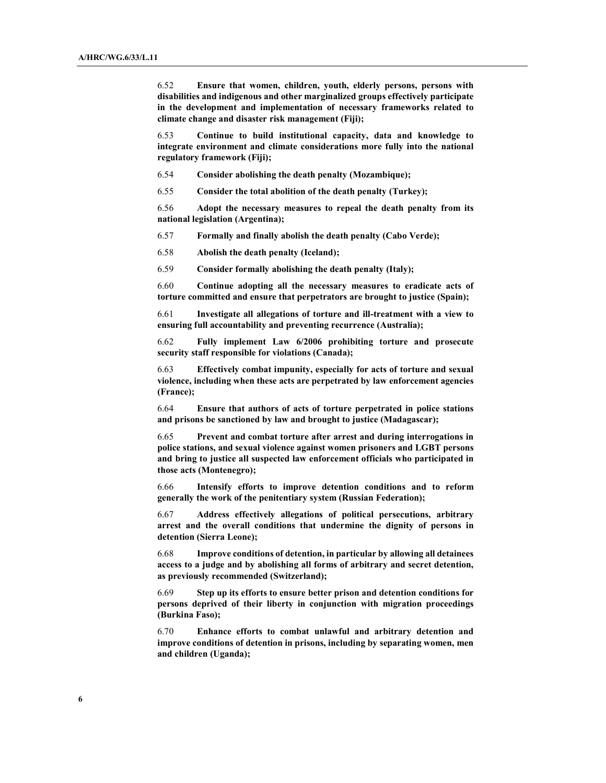6.52 Ensure that women, children, youth, elderly persons, persons with disabilities and indigenous and other marginalized groups effectively participate in the development and implementation of necessary frameworks related to climate change and disaster risk management (Fiji);

6.53 Continue to build institutional capacity, data and knowledge to integrate environment and climate considerations more fully into the national regulatory framework (Fiji);

6.54 Consider abolishing the death penalty (Mozambique);

6.55 Consider the total abolition of the death penalty (Turkey);

6.56 Adopt the necessary measures to repeal the death penalty from its national legislation (Argentina);

6.57 Formally and finally abolish the death penalty (Cabo Verde);

6.58 Abolish the death penalty (Iceland);

6.59 Consider formally abolishing the death penalty (Italy);

6.60 Continue adopting all the necessary measures to eradicate acts of torture committed and ensure that perpetrators are brought to justice (Spain);

6.61 Investigate all allegations of torture and ill-treatment with a view to ensuring full accountability and preventing recurrence (Australia);

6.62 Fully implement Law 6/2006 prohibiting torture and prosecute security staff responsible for violations (Canada);

6.63 Effectively combat impunity, especially for acts of torture and sexual violence, including when these acts are perpetrated by law enforcement agencies (France);

6.64 Ensure that authors of acts of torture perpetrated in police stations and prisons be sanctioned by law and brought to justice (Madagascar);

6.65 Prevent and combat torture after arrest and during interrogations in police stations, and sexual violence against women prisoners and LGBT persons and bring to justice all suspected law enforcement officials who participated in those acts (Montenegro);

6.66 Intensify efforts to improve detention conditions and to reform generally the work of the penitentiary system (Russian Federation);

6.67 Address effectively allegations of political persecutions, arbitrary arrest and the overall conditions that undermine the dignity of persons in detention (Sierra Leone);

6.68 Improve conditions of detention, in particular by allowing all detainees access to a judge and by abolishing all forms of arbitrary and secret detention, as previously recommended (Switzerland);

6.69 Step up its efforts to ensure better prison and detention conditions for persons deprived of their liberty in conjunction with migration proceedings (Burkina Faso);

6.70 Enhance efforts to combat unlawful and arbitrary detention and improve conditions of detention in prisons, including by separating women, men and children (Uganda);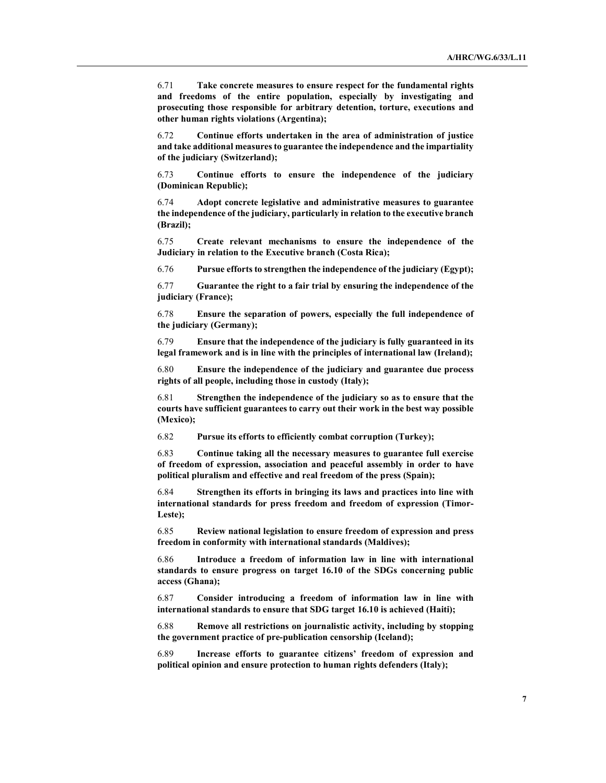6.71 Take concrete measures to ensure respect for the fundamental rights and freedoms of the entire population, especially by investigating and prosecuting those responsible for arbitrary detention, torture, executions and other human rights violations (Argentina);

6.72 Continue efforts undertaken in the area of administration of justice and take additional measures to guarantee the independence and the impartiality of the judiciary (Switzerland);

6.73 Continue efforts to ensure the independence of the judiciary (Dominican Republic);

6.74 Adopt concrete legislative and administrative measures to guarantee the independence of the judiciary, particularly in relation to the executive branch (Brazil);

6.75 Create relevant mechanisms to ensure the independence of the Judiciary in relation to the Executive branch (Costa Rica);

6.76 Pursue efforts to strengthen the independence of the judiciary (Egypt);

6.77 Guarantee the right to a fair trial by ensuring the independence of the judiciary (France);

6.78 Ensure the separation of powers, especially the full independence of the judiciary (Germany);

6.79 Ensure that the independence of the judiciary is fully guaranteed in its legal framework and is in line with the principles of international law (Ireland);

6.80 Ensure the independence of the judiciary and guarantee due process rights of all people, including those in custody (Italy);

6.81 Strengthen the independence of the judiciary so as to ensure that the courts have sufficient guarantees to carry out their work in the best way possible (Mexico);

6.82 Pursue its efforts to efficiently combat corruption (Turkey);

6.83 Continue taking all the necessary measures to guarantee full exercise of freedom of expression, association and peaceful assembly in order to have political pluralism and effective and real freedom of the press (Spain);

6.84 Strengthen its efforts in bringing its laws and practices into line with international standards for press freedom and freedom of expression (Timor-Leste);

6.85 Review national legislation to ensure freedom of expression and press freedom in conformity with international standards (Maldives);

6.86 Introduce a freedom of information law in line with international standards to ensure progress on target 16.10 of the SDGs concerning public access (Ghana);

6.87 Consider introducing a freedom of information law in line with international standards to ensure that SDG target 16.10 is achieved (Haiti);

6.88 Remove all restrictions on journalistic activity, including by stopping the government practice of pre-publication censorship (Iceland);

6.89 Increase efforts to guarantee citizens' freedom of expression and political opinion and ensure protection to human rights defenders (Italy);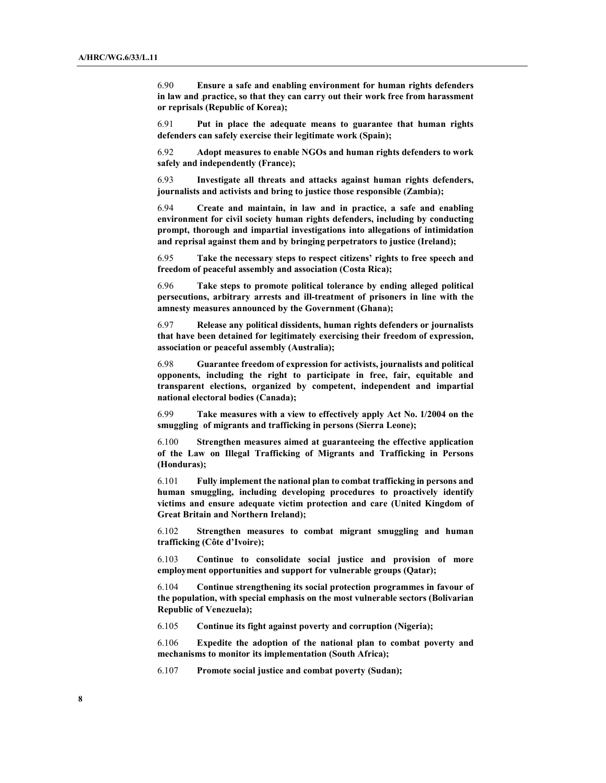6.90 Ensure a safe and enabling environment for human rights defenders in law and practice, so that they can carry out their work free from harassment or reprisals (Republic of Korea);

6.91 Put in place the adequate means to guarantee that human rights defenders can safely exercise their legitimate work (Spain);

6.92 Adopt measures to enable NGOs and human rights defenders to work safely and independently (France);

6.93 Investigate all threats and attacks against human rights defenders, journalists and activists and bring to justice those responsible (Zambia);

6.94 Create and maintain, in law and in practice, a safe and enabling environment for civil society human rights defenders, including by conducting prompt, thorough and impartial investigations into allegations of intimidation and reprisal against them and by bringing perpetrators to justice (Ireland);

6.95 Take the necessary steps to respect citizens' rights to free speech and freedom of peaceful assembly and association (Costa Rica);

6.96 Take steps to promote political tolerance by ending alleged political persecutions, arbitrary arrests and ill-treatment of prisoners in line with the amnesty measures announced by the Government (Ghana);

6.97 Release any political dissidents, human rights defenders or journalists that have been detained for legitimately exercising their freedom of expression, association or peaceful assembly (Australia);

6.98 Guarantee freedom of expression for activists, journalists and political opponents, including the right to participate in free, fair, equitable and transparent elections, organized by competent, independent and impartial national electoral bodies (Canada);

6.99 Take measures with a view to effectively apply Act No. 1/2004 on the smuggling of migrants and trafficking in persons (Sierra Leone);

6.100 Strengthen measures aimed at guaranteeing the effective application of the Law on Illegal Trafficking of Migrants and Trafficking in Persons (Honduras);

6.101 Fully implement the national plan to combat trafficking in persons and human smuggling, including developing procedures to proactively identify victims and ensure adequate victim protection and care (United Kingdom of Great Britain and Northern Ireland);

6.102 Strengthen measures to combat migrant smuggling and human trafficking (Côte d'Ivoire);

6.103 Continue to consolidate social justice and provision of more employment opportunities and support for vulnerable groups (Qatar);

6.104 Continue strengthening its social protection programmes in favour of the population, with special emphasis on the most vulnerable sectors (Bolivarian Republic of Venezuela);

6.105 Continue its fight against poverty and corruption (Nigeria);

6.106 Expedite the adoption of the national plan to combat poverty and mechanisms to monitor its implementation (South Africa);

6.107 Promote social justice and combat poverty (Sudan);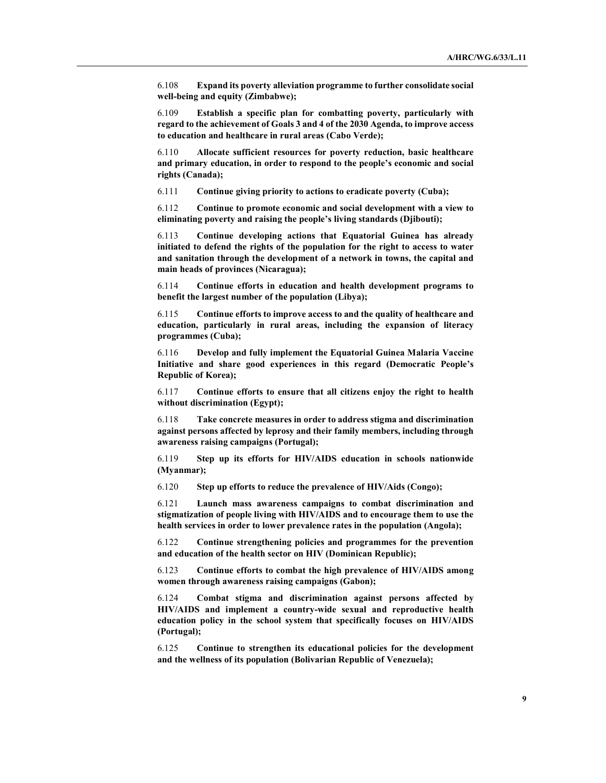6.108 Expand its poverty alleviation programme to further consolidate social well-being and equity (Zimbabwe);

6.109 Establish a specific plan for combatting poverty, particularly with regard to the achievement of Goals 3 and 4 of the 2030 Agenda, to improve access to education and healthcare in rural areas (Cabo Verde);

6.110 Allocate sufficient resources for poverty reduction, basic healthcare and primary education, in order to respond to the people's economic and social rights (Canada);

6.111 Continue giving priority to actions to eradicate poverty (Cuba);

6.112 Continue to promote economic and social development with a view to eliminating poverty and raising the people's living standards (Djibouti);

6.113 Continue developing actions that Equatorial Guinea has already initiated to defend the rights of the population for the right to access to water and sanitation through the development of a network in towns, the capital and main heads of provinces (Nicaragua);

6.114 Continue efforts in education and health development programs to benefit the largest number of the population (Libya);

6.115 Continue efforts to improve access to and the quality of healthcare and education, particularly in rural areas, including the expansion of literacy programmes (Cuba);

6.116 Develop and fully implement the Equatorial Guinea Malaria Vaccine Initiative and share good experiences in this regard (Democratic People's Republic of Korea);

6.117 Continue efforts to ensure that all citizens enjoy the right to health without discrimination (Egypt);

6.118 Take concrete measures in order to address stigma and discrimination against persons affected by leprosy and their family members, including through awareness raising campaigns (Portugal);

6.119 Step up its efforts for HIV/AIDS education in schools nationwide (Myanmar);

6.120 Step up efforts to reduce the prevalence of HIV/Aids (Congo);

6.121 Launch mass awareness campaigns to combat discrimination and stigmatization of people living with HIV/AIDS and to encourage them to use the health services in order to lower prevalence rates in the population (Angola);

6.122 Continue strengthening policies and programmes for the prevention and education of the health sector on HIV (Dominican Republic);

6.123 Continue efforts to combat the high prevalence of HIV/AIDS among women through awareness raising campaigns (Gabon);

6.124 Combat stigma and discrimination against persons affected by HIV/AIDS and implement a country-wide sexual and reproductive health education policy in the school system that specifically focuses on HIV/AIDS (Portugal);

6.125 Continue to strengthen its educational policies for the development and the wellness of its population (Bolivarian Republic of Venezuela);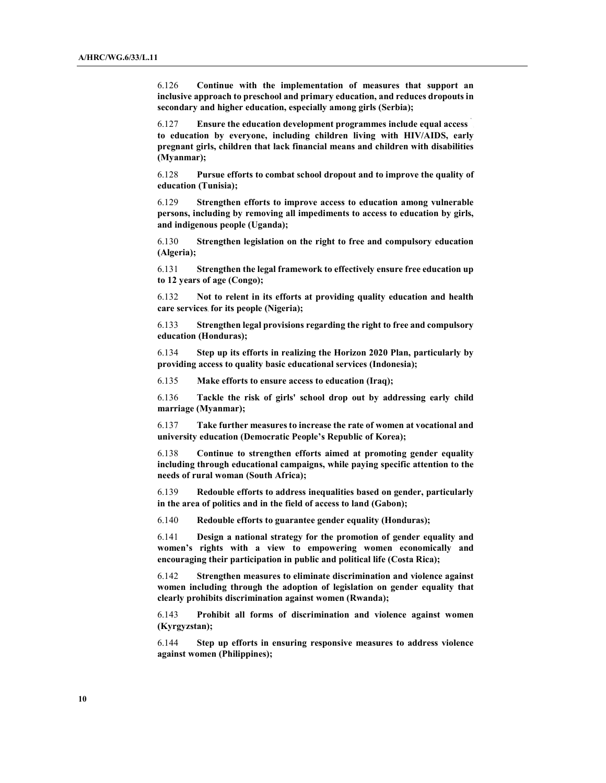6.126 Continue with the implementation of measures that support an inclusive approach to preschool and primary education, and reduces dropouts in secondary and higher education, especially among girls (Serbia);

6.127 Ensure the education development programmes include equal access to education by everyone, including children living with HIV/AIDS, early pregnant girls, children that lack financial means and children with disabilities (Myanmar);

6.128 Pursue efforts to combat school dropout and to improve the quality of education (Tunisia);

6.129 Strengthen efforts to improve access to education among vulnerable persons, including by removing all impediments to access to education by girls, and indigenous people (Uganda);

6.130 Strengthen legislation on the right to free and compulsory education (Algeria);

6.131 Strengthen the legal framework to effectively ensure free education up to 12 years of age (Congo);

6.132 Not to relent in its efforts at providing quality education and health care services for its people (Nigeria);

6.133 Strengthen legal provisions regarding the right to free and compulsory education (Honduras);

6.134 Step up its efforts in realizing the Horizon 2020 Plan, particularly by providing access to quality basic educational services (Indonesia);

6.135 Make efforts to ensure access to education (Iraq);

6.136 Tackle the risk of girls' school drop out by addressing early child marriage (Myanmar);

6.137 Take further measures to increase the rate of women at vocational and university education (Democratic People's Republic of Korea);

6.138 Continue to strengthen efforts aimed at promoting gender equality including through educational campaigns, while paying specific attention to the needs of rural woman (South Africa);

6.139 Redouble efforts to address inequalities based on gender, particularly in the area of politics and in the field of access to land (Gabon);

6.140 Redouble efforts to guarantee gender equality (Honduras);

6.141 Design a national strategy for the promotion of gender equality and women's rights with a view to empowering women economically and encouraging their participation in public and political life (Costa Rica);

6.142 Strengthen measures to eliminate discrimination and violence against women including through the adoption of legislation on gender equality that clearly prohibits discrimination against women (Rwanda);

6.143 Prohibit all forms of discrimination and violence against women (Kyrgyzstan);

6.144 Step up efforts in ensuring responsive measures to address violence against women (Philippines);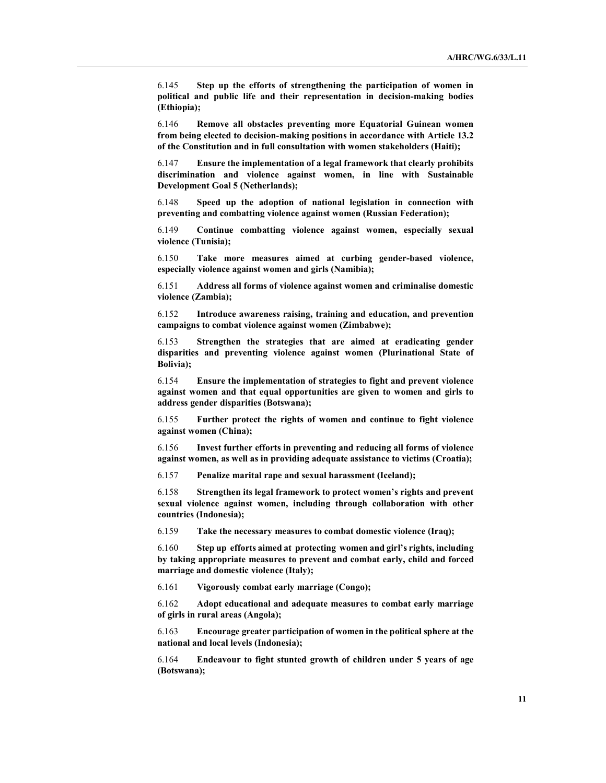6.145 Step up the efforts of strengthening the participation of women in political and public life and their representation in decision-making bodies (Ethiopia);

6.146 Remove all obstacles preventing more Equatorial Guinean women from being elected to decision-making positions in accordance with Article 13.2 of the Constitution and in full consultation with women stakeholders (Haiti);

6.147 Ensure the implementation of a legal framework that clearly prohibits discrimination and violence against women, in line with Sustainable Development Goal 5 (Netherlands);

6.148 Speed up the adoption of national legislation in connection with preventing and combatting violence against women (Russian Federation);

6.149 Continue combatting violence against women, especially sexual violence (Tunisia);

6.150 Take more measures aimed at curbing gender-based violence, especially violence against women and girls (Namibia);

6.151 Address all forms of violence against women and criminalise domestic violence (Zambia);

6.152 Introduce awareness raising, training and education, and prevention campaigns to combat violence against women (Zimbabwe);

6.153 Strengthen the strategies that are aimed at eradicating gender disparities and preventing violence against women (Plurinational State of Bolivia);

6.154 Ensure the implementation of strategies to fight and prevent violence against women and that equal opportunities are given to women and girls to address gender disparities (Botswana);

6.155 Further protect the rights of women and continue to fight violence against women (China);

6.156 Invest further efforts in preventing and reducing all forms of violence against women, as well as in providing adequate assistance to victims (Croatia);

6.157 Penalize marital rape and sexual harassment (Iceland);

6.158 Strengthen its legal framework to protect women's rights and prevent sexual violence against women, including through collaboration with other countries (Indonesia);

6.159 Take the necessary measures to combat domestic violence (Iraq);

6.160 Step up efforts aimed at protecting women and girl's rights, including by taking appropriate measures to prevent and combat early, child and forced marriage and domestic violence (Italy);

6.161 Vigorously combat early marriage (Congo);

6.162 Adopt educational and adequate measures to combat early marriage of girls in rural areas (Angola);

6.163 Encourage greater participation of women in the political sphere at the national and local levels (Indonesia);

6.164 Endeavour to fight stunted growth of children under 5 years of age (Botswana);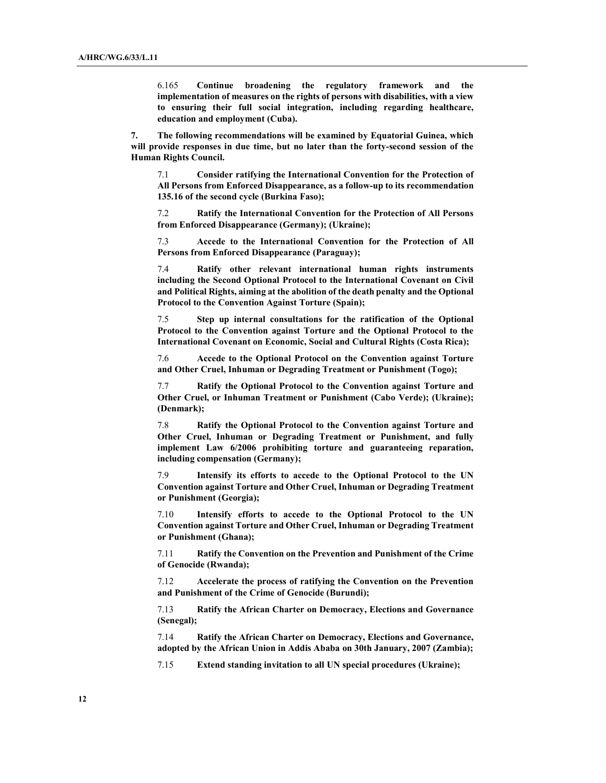6.165 Continue broadening the regulatory framework and the implementation of measures on the rights of persons with disabilities, with a view to ensuring their full social integration, including regarding healthcare, education and employment (Cuba).

7. The following recommendations will be examined by Equatorial Guinea, which will provide responses in due time, but no later than the forty-second session of the Human Rights Council.

7.1 Consider ratifying the International Convention for the Protection of All Persons from Enforced Disappearance, as a follow-up to its recommendation 135.16 of the second cycle (Burkina Faso);

7.2 Ratify the International Convention for the Protection of All Persons from Enforced Disappearance (Germany); (Ukraine);

7.3 Accede to the International Convention for the Protection of All Persons from Enforced Disappearance (Paraguay);

7.4 Ratify other relevant international human rights instruments including the Second Optional Protocol to the International Covenant on Civil and Political Rights, aiming at the abolition of the death penalty and the Optional Protocol to the Convention Against Torture (Spain);

7.5 Step up internal consultations for the ratification of the Optional Protocol to the Convention against Torture and the Optional Protocol to the International Covenant on Economic, Social and Cultural Rights (Costa Rica);

7.6 Accede to the Optional Protocol on the Convention against Torture and Other Cruel, Inhuman or Degrading Treatment or Punishment (Togo);

7.7 Ratify the Optional Protocol to the Convention against Torture and Other Cruel, or Inhuman Treatment or Punishment (Cabo Verde); (Ukraine); (Denmark);

7.8 Ratify the Optional Protocol to the Convention against Torture and Other Cruel, Inhuman or Degrading Treatment or Punishment, and fully implement Law 6/2006 prohibiting torture and guaranteeing reparation, including compensation (Germany);

7.9 Intensify its efforts to accede to the Optional Protocol to the UN Convention against Torture and Other Cruel, Inhuman or Degrading Treatment or Punishment (Georgia);

7.10 Intensify efforts to accede to the Optional Protocol to the UN Convention against Torture and Other Cruel, Inhuman or Degrading Treatment or Punishment (Ghana);

7.11 Ratify the Convention on the Prevention and Punishment of the Crime of Genocide (Rwanda);

7.12 Accelerate the process of ratifying the Convention on the Prevention and Punishment of the Crime of Genocide (Burundi);

7.13 Ratify the African Charter on Democracy, Elections and Governance (Senegal);

7.14 Ratify the African Charter on Democracy, Elections and Governance, adopted by the African Union in Addis Ababa on 30th January, 2007 (Zambia);

7.15 Extend standing invitation to all UN special procedures (Ukraine);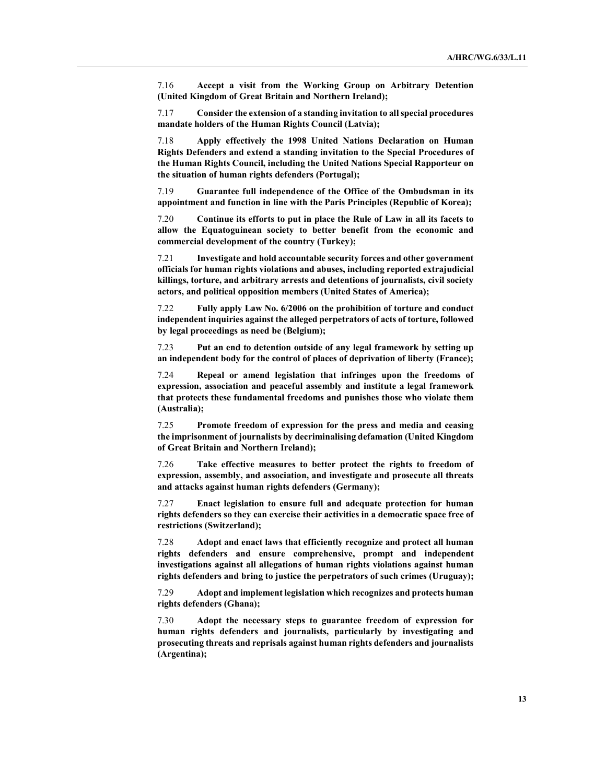7.16 Accept a visit from the Working Group on Arbitrary Detention (United Kingdom of Great Britain and Northern Ireland);

7.17 Consider the extension of a standing invitation to all special procedures mandate holders of the Human Rights Council (Latvia);

7.18 Apply effectively the 1998 United Nations Declaration on Human Rights Defenders and extend a standing invitation to the Special Procedures of the Human Rights Council, including the United Nations Special Rapporteur on the situation of human rights defenders (Portugal);

7.19 Guarantee full independence of the Office of the Ombudsman in its appointment and function in line with the Paris Principles (Republic of Korea);

7.20 Continue its efforts to put in place the Rule of Law in all its facets to allow the Equatoguinean society to better benefit from the economic and commercial development of the country (Turkey);

7.21 Investigate and hold accountable security forces and other government officials for human rights violations and abuses, including reported extrajudicial killings, torture, and arbitrary arrests and detentions of journalists, civil society actors, and political opposition members (United States of America);

7.22 Fully apply Law No. 6/2006 on the prohibition of torture and conduct independent inquiries against the alleged perpetrators of acts of torture, followed by legal proceedings as need be (Belgium);

7.23 Put an end to detention outside of any legal framework by setting up an independent body for the control of places of deprivation of liberty (France);

7.24 Repeal or amend legislation that infringes upon the freedoms of expression, association and peaceful assembly and institute a legal framework that protects these fundamental freedoms and punishes those who violate them (Australia);

7.25 Promote freedom of expression for the press and media and ceasing the imprisonment of journalists by decriminalising defamation (United Kingdom of Great Britain and Northern Ireland);

7.26 Take effective measures to better protect the rights to freedom of expression, assembly, and association, and investigate and prosecute all threats and attacks against human rights defenders (Germany);

7.27 Enact legislation to ensure full and adequate protection for human rights defenders so they can exercise their activities in a democratic space free of restrictions (Switzerland);

7.28 Adopt and enact laws that efficiently recognize and protect all human rights defenders and ensure comprehensive, prompt and independent investigations against all allegations of human rights violations against human rights defenders and bring to justice the perpetrators of such crimes (Uruguay);

7.29 Adopt and implement legislation which recognizes and protects human rights defenders (Ghana);

7.30 Adopt the necessary steps to guarantee freedom of expression for human rights defenders and journalists, particularly by investigating and prosecuting threats and reprisals against human rights defenders and journalists (Argentina);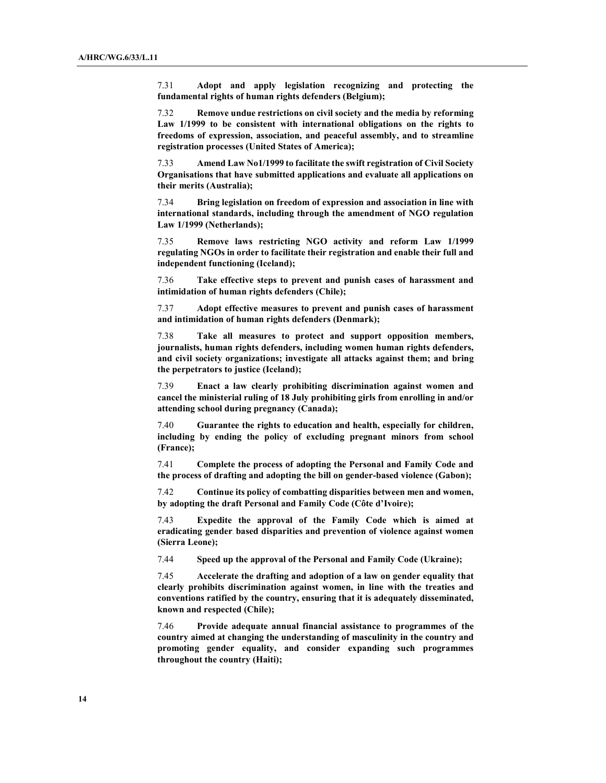7.31 Adopt and apply legislation recognizing and protecting the fundamental rights of human rights defenders (Belgium);

7.32 Remove undue restrictions on civil society and the media by reforming Law 1/1999 to be consistent with international obligations on the rights to freedoms of expression, association, and peaceful assembly, and to streamline registration processes (United States of America);

7.33 Amend Law No1/1999 to facilitate the swift registration of Civil Society Organisations that have submitted applications and evaluate all applications on their merits (Australia);

7.34 Bring legislation on freedom of expression and association in line with international standards, including through the amendment of NGO regulation Law 1/1999 (Netherlands);

7.35 Remove laws restricting NGO activity and reform Law 1/1999 regulating NGOs in order to facilitate their registration and enable their full and independent functioning (Iceland);

7.36 Take effective steps to prevent and punish cases of harassment and intimidation of human rights defenders (Chile);

7.37 Adopt effective measures to prevent and punish cases of harassment and intimidation of human rights defenders (Denmark);

7.38 Take all measures to protect and support opposition members, journalists, human rights defenders, including women human rights defenders, and civil society organizations; investigate all attacks against them; and bring the perpetrators to justice (Iceland);

7.39 Enact a law clearly prohibiting discrimination against women and cancel the ministerial ruling of 18 July prohibiting girls from enrolling in and/or attending school during pregnancy (Canada);

7.40 Guarantee the rights to education and health, especially for children, including by ending the policy of excluding pregnant minors from school (France);

7.41 Complete the process of adopting the Personal and Family Code and the process of drafting and adopting the bill on gender-based violence (Gabon);

7.42 Continue its policy of combatting disparities between men and women, by adopting the draft Personal and Family Code (Côte d'Ivoire);

7.43 Expedite the approval of the Family Code which is aimed at eradicating gender based disparities and prevention of violence against women (Sierra Leone);

7.44 Speed up the approval of the Personal and Family Code (Ukraine);

7.45 Accelerate the drafting and adoption of a law on gender equality that clearly prohibits discrimination against women, in line with the treaties and conventions ratified by the country, ensuring that it is adequately disseminated, known and respected (Chile);

7.46 Provide adequate annual financial assistance to programmes of the country aimed at changing the understanding of masculinity in the country and promoting gender equality, and consider expanding such programmes throughout the country (Haiti);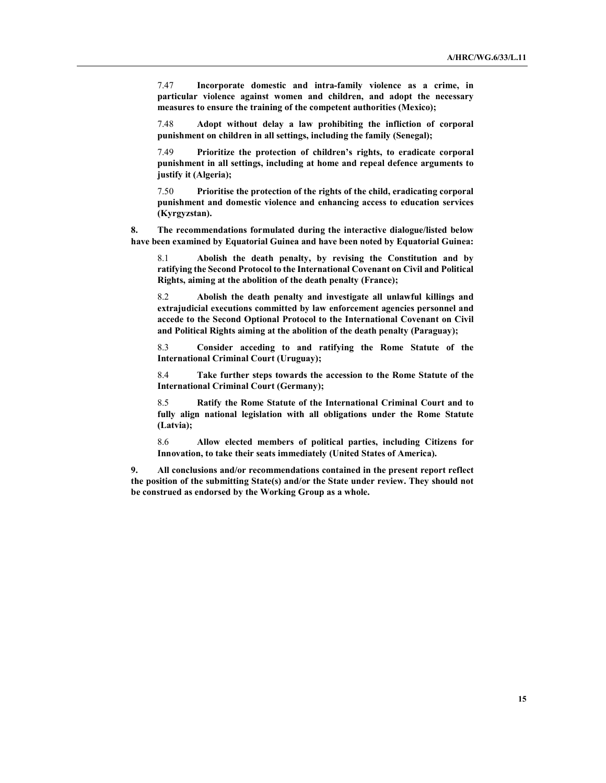7.47 Incorporate domestic and intra-family violence as a crime, in particular violence against women and children, and adopt the necessary measures to ensure the training of the competent authorities (Mexico);

7.48 Adopt without delay a law prohibiting the infliction of corporal punishment on children in all settings, including the family (Senegal);

7.49 Prioritize the protection of children's rights, to eradicate corporal punishment in all settings, including at home and repeal defence arguments to justify it (Algeria);

7.50 Prioritise the protection of the rights of the child, eradicating corporal punishment and domestic violence and enhancing access to education services (Kyrgyzstan).

8. The recommendations formulated during the interactive dialogue/listed below have been examined by Equatorial Guinea and have been noted by Equatorial Guinea:

8.1 Abolish the death penalty, by revising the Constitution and by ratifying the Second Protocol to the International Covenant on Civil and Political Rights, aiming at the abolition of the death penalty (France);

8.2 Abolish the death penalty and investigate all unlawful killings and extrajudicial executions committed by law enforcement agencies personnel and accede to the Second Optional Protocol to the International Covenant on Civil and Political Rights aiming at the abolition of the death penalty (Paraguay);

8.3 Consider acceding to and ratifying the Rome Statute of the International Criminal Court (Uruguay);

8.4 Take further steps towards the accession to the Rome Statute of the International Criminal Court (Germany);

8.5 Ratify the Rome Statute of the International Criminal Court and to fully align national legislation with all obligations under the Rome Statute (Latvia);

8.6 Allow elected members of political parties, including Citizens for Innovation, to take their seats immediately (United States of America).

9. All conclusions and/or recommendations contained in the present report reflect the position of the submitting State(s) and/or the State under review. They should not be construed as endorsed by the Working Group as a whole.